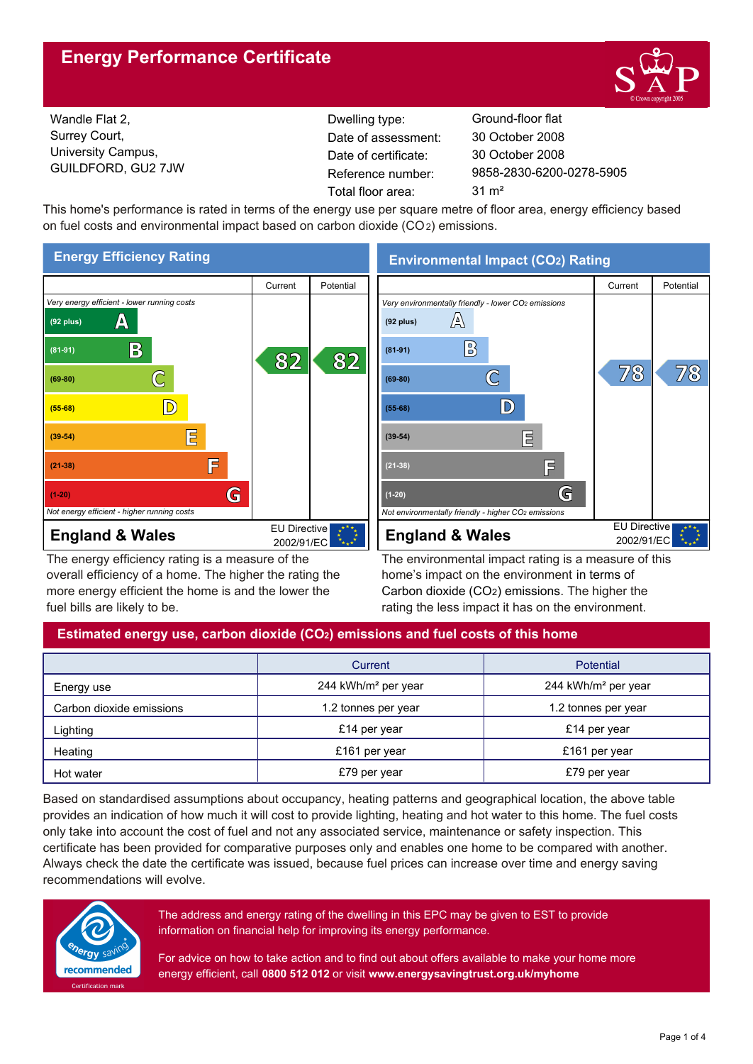# **Energy Performance Certificate**



Wandle Flat 2, Surrey Court, University Campus, GUILDFORD, GU2 7JW

Dwelling type: Ground-floor flat Date of certificate: Total floor area: 31 m<sup>2</sup> Date of assessment:

9858-2830-6200-0278-5905 30 October 2008 30 October 2008

This home's performance is rated in terms of the energy use per square metre of floor area, energy efficiency based on fuel costs and environmental impact based on carbon dioxide (CO2) emissions.



The energy efficiency rating is a measure of the overall efficiency of a home. The higher the rating the more energy efficient the home is and the lower the fuel bills are likely to be.

# **Environmental Impact (CO2) Rating**



The environmental impact rating is a measure of this home's impact on the environment in terms of Carbon dioxide (CO2) emissions. The higher the rating the less impact it has on the environment.

## **Estimated energy use, carbon dioxide (CO2) emissions and fuel costs of this home**

|                          | Current                         | Potential                       |  |
|--------------------------|---------------------------------|---------------------------------|--|
| Energy use               | 244 kWh/m <sup>2</sup> per year | 244 kWh/m <sup>2</sup> per year |  |
| Carbon dioxide emissions | 1.2 tonnes per year             | 1.2 tonnes per year             |  |
| Lighting                 | £14 per year                    | £14 per year                    |  |
| Heating                  | £161 per year                   | £161 per year                   |  |
| Hot water                | £79 per year                    | £79 per year                    |  |

Based on standardised assumptions about occupancy, heating patterns and geographical location, the above table provides an indication of how much it will cost to provide lighting, heating and hot water to this home. The fuel costs only take into account the cost of fuel and not any associated service, maintenance or safety inspection. This certificate has been provided for comparative purposes only and enables one home to be compared with another. Always check the date the certificate was issued, because fuel prices can increase over time and energy saving recommendations will evolve.



The address and energy rating of the dwelling in this EPC may be given to EST to provide information on financial help for improving its energy performance.

For advice on how to take action and to find out about offers available to make your home more energy efficient, call **0800 512 012** or visit **www.energysavingtrust.org.uk/myhome**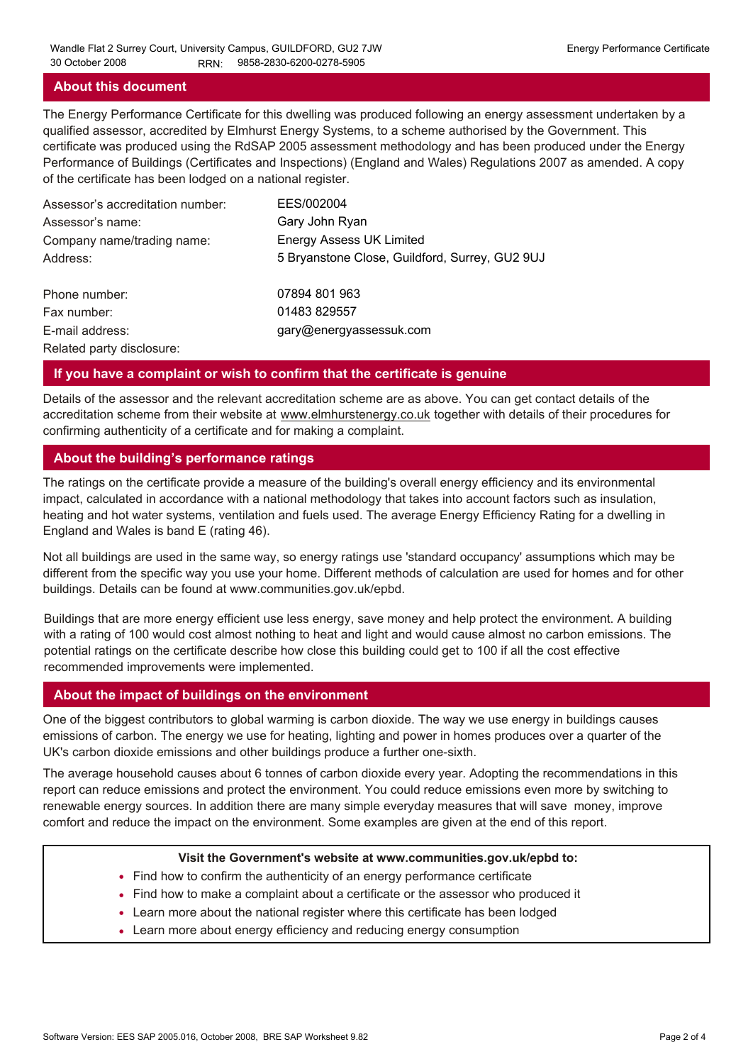### **About this document**

The Energy Performance Certificate for this dwelling was produced following an energy assessment undertaken by a qualified assessor, accredited by Elmhurst Energy Systems, to a scheme authorised by the Government. This certificate was produced using the RdSAP 2005 assessment methodology and has been produced under the Energy Performance of Buildings (Certificates and Inspections) (England and Wales) Regulations 2007 as amended. A copy of the certificate has been lodged on a national register.

| Assessor's accreditation number: | EES/002004                                     |
|----------------------------------|------------------------------------------------|
| Assessor's name:                 | Gary John Ryan                                 |
| Company name/trading name:       | <b>Energy Assess UK Limited</b>                |
| Address:                         | 5 Bryanstone Close, Guildford, Surrey, GU2 9UJ |
| Phone number:                    | 07894 801 963                                  |
| Fax number:                      | 01483 829557                                   |
| E-mail address:                  | gary@energyassessuk.com                        |
| Related party disclosure:        |                                                |

### **If you have a complaint or wish to confirm that the certificate is genuine**

Details of the assessor and the relevant accreditation scheme are as above. You can get contact details of the accreditation scheme from their website at www.elmhurstenergy.co.uk together with details of their procedures for confirming authenticity of a certificate and for making a complaint.

### **About the building's performance ratings**

The ratings on the certificate provide a measure of the building's overall energy efficiency and its environmental impact, calculated in accordance with a national methodology that takes into account factors such as insulation, heating and hot water systems, ventilation and fuels used. The average Energy Efficiency Rating for a dwelling in England and Wales is band E (rating 46).

Not all buildings are used in the same way, so energy ratings use 'standard occupancy' assumptions which may be different from the specific way you use your home. Different methods of calculation are used for homes and for other buildings. Details can be found at www.communities.gov.uk/epbd.

Buildings that are more energy efficient use less energy, save money and help protect the environment. A building with a rating of 100 would cost almost nothing to heat and light and would cause almost no carbon emissions. The potential ratings on the certificate describe how close this building could get to 100 if all the cost effective recommended improvements were implemented.

### **About the impact of buildings on the environment**

One of the biggest contributors to global warming is carbon dioxide. The way we use energy in buildings causes emissions of carbon. The energy we use for heating, lighting and power in homes produces over a quarter of the UK's carbon dioxide emissions and other buildings produce a further one-sixth.

The average household causes about 6 tonnes of carbon dioxide every year. Adopting the recommendations in this report can reduce emissions and protect the environment. You could reduce emissions even more by switching to renewable energy sources. In addition there are many simple everyday measures that will save money, improve comfort and reduce the impact on the environment. Some examples are given at the end of this report.

#### **Visit the Government's website at www.communities.gov.uk/epbd to:**

- Find how to confirm the authenticity of an energy performance certificate
- Find how to make a complaint about a certificate or the assessor who produced it •
- Learn more about the national register where this certificate has been lodged •
- Learn more about energy efficiency and reducing energy consumption •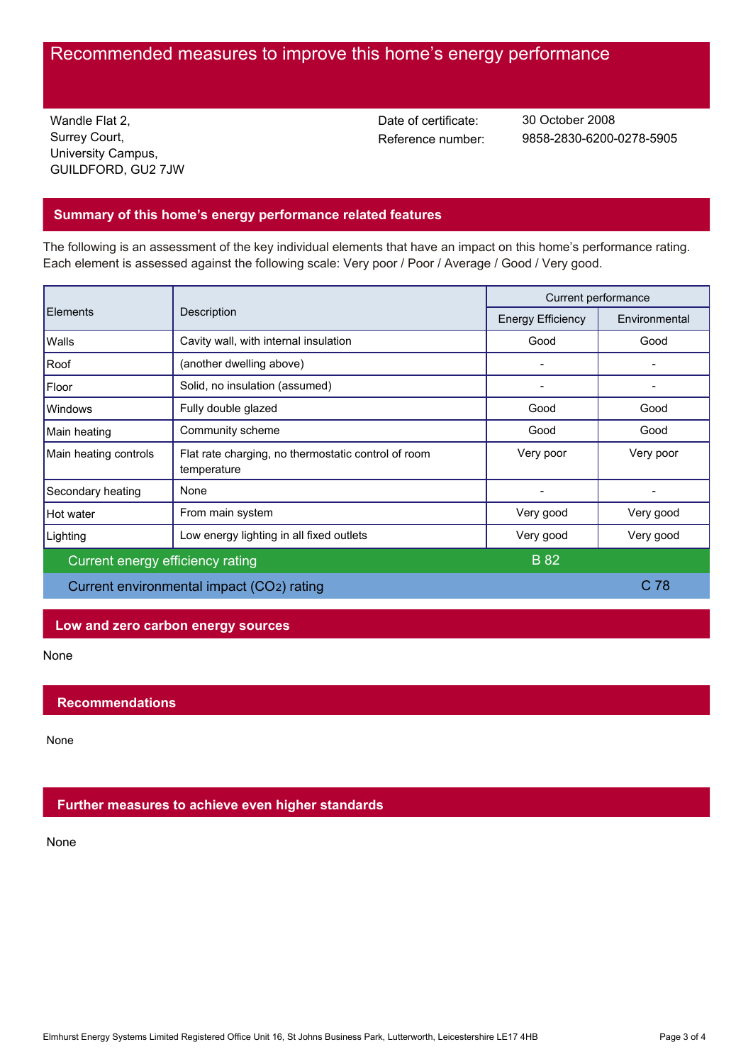# Recommended measures to improve this home's energy performance

Wandle Flat 2, Surrey Court, University Campus, GUILDFORD, GU2 7JW Date of certificate:

Reference number: 9858-2830-6200-0278-5905 30 October 2008

## **Summary of this home's energy performance related features**

The following is an assessment of the key individual elements that have an impact on this home's performance rating. Each element is assessed against the following scale: Very poor / Poor / Average / Good / Very good.

| <b>Elements</b>                           | Description                                                        | Current performance      |                 |
|-------------------------------------------|--------------------------------------------------------------------|--------------------------|-----------------|
|                                           |                                                                    | <b>Energy Efficiency</b> | Environmental   |
| Walls                                     | Cavity wall, with internal insulation                              | Good                     | Good            |
| Roof                                      | (another dwelling above)                                           |                          |                 |
| Floor                                     | Solid, no insulation (assumed)                                     |                          |                 |
| Windows                                   | Fully double glazed                                                | Good                     | Good            |
| Main heating                              | Community scheme                                                   | Good                     | Good            |
| Main heating controls                     | Flat rate charging, no thermostatic control of room<br>temperature | Very poor                | Very poor       |
| Secondary heating                         | None                                                               |                          |                 |
| Hot water                                 | From main system                                                   | Very good                | Very good       |
| Lighting                                  | Low energy lighting in all fixed outlets                           | Very good                | Very good       |
| Current energy efficiency rating          |                                                                    | <b>B</b> 82              |                 |
| Current environmental impact (CO2) rating |                                                                    |                          | C <sub>78</sub> |

## **Low and zero carbon energy sources**

None

## **Recommendations**

None

## **Further measures to achieve even higher standards**

None